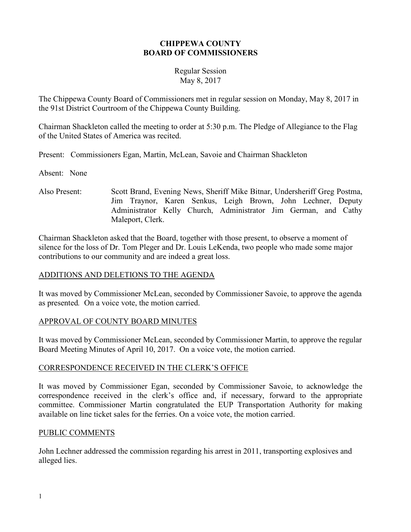#### **CHIPPEWA COUNTY BOARD OF COMMISSIONERS**

#### Regular Session May 8, 2017

The Chippewa County Board of Commissioners met in regular session on Monday, May 8, 2017 in the 91st District Courtroom of the Chippewa County Building.

Chairman Shackleton called the meeting to order at 5:30 p.m. The Pledge of Allegiance to the Flag of the United States of America was recited.

Present: Commissioners Egan, Martin, McLean, Savoie and Chairman Shackleton

Absent: None

Also Present: Scott Brand, Evening News, Sheriff Mike Bitnar, Undersheriff Greg Postma, Jim Traynor, Karen Senkus, Leigh Brown, John Lechner, Deputy Administrator Kelly Church, Administrator Jim German, and Cathy Maleport, Clerk.

Chairman Shackleton asked that the Board, together with those present, to observe a moment of silence for the loss of Dr. Tom Pleger and Dr. Louis LeKenda, two people who made some major contributions to our community and are indeed a great loss.

## ADDITIONS AND DELETIONS TO THE AGENDA

It was moved by Commissioner McLean, seconded by Commissioner Savoie, to approve the agenda as presented*.* On a voice vote, the motion carried.

## APPROVAL OF COUNTY BOARD MINUTES

It was moved by Commissioner McLean, seconded by Commissioner Martin, to approve the regular Board Meeting Minutes of April 10, 2017. On a voice vote, the motion carried.

# CORRESPONDENCE RECEIVED IN THE CLERK'S OFFICE

It was moved by Commissioner Egan, seconded by Commissioner Savoie, to acknowledge the correspondence received in the clerk's office and, if necessary, forward to the appropriate committee. Commissioner Martin congratulated the EUP Transportation Authority for making available on line ticket sales for the ferries. On a voice vote, the motion carried.

## PUBLIC COMMENTS

John Lechner addressed the commission regarding his arrest in 2011, transporting explosives and alleged lies.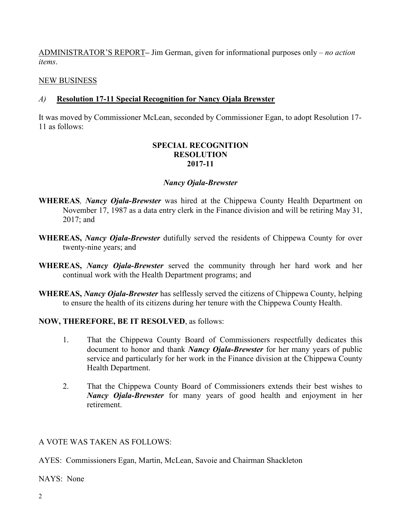ADMINISTRATOR'S REPORT**–** Jim German, given for informational purposes only – *no action items*.

### NEW BUSINESS

### *A)* **Resolution 17-11 Special Recognition for Nancy Ojala Brewster**

It was moved by Commissioner McLean, seconded by Commissioner Egan, to adopt Resolution 17- 11 as follows:

#### **SPECIAL RECOGNITION RESOLUTION 2017-11**

### *Nancy Ojala-Brewster*

- **WHEREAS***, Nancy Ojala-Brewster* was hired at the Chippewa County Health Department on November 17, 1987 as a data entry clerk in the Finance division and will be retiring May 31, 2017; and
- **WHEREAS,** *Nancy Ojala-Brewster* dutifully served the residents of Chippewa County for over twenty-nine years; and
- **WHEREAS,** *Nancy Ojala-Brewster* served the community through her hard work and her continual work with the Health Department programs; and
- **WHEREAS,** *Nancy Ojala-Brewster* has selflessly served the citizens of Chippewa County, helping to ensure the health of its citizens during her tenure with the Chippewa County Health.

## **NOW, THEREFORE, BE IT RESOLVED**, as follows:

- 1. That the Chippewa County Board of Commissioners respectfully dedicates this document to honor and thank *Nancy Ojala-Brewster* for her many years of public service and particularly for her work in the Finance division at the Chippewa County Health Department.
- 2. That the Chippewa County Board of Commissioners extends their best wishes to *Nancy Ojala-Brewster* for many years of good health and enjoyment in her retirement.

#### A VOTE WAS TAKEN AS FOLLOWS:

AYES: Commissioners Egan, Martin, McLean, Savoie and Chairman Shackleton

NAYS: None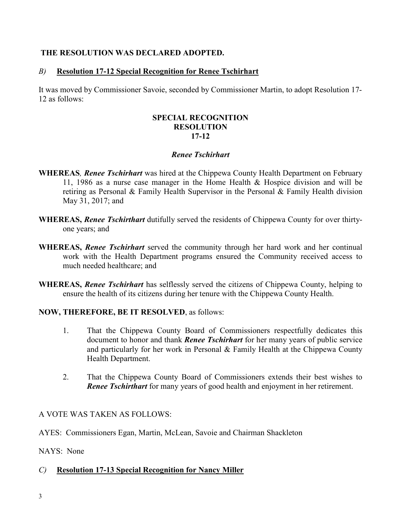### **THE RESOLUTION WAS DECLARED ADOPTED.**

### *B)* **Resolution 17-12 Special Recognition for Renee Tschirhart**

It was moved by Commissioner Savoie, seconded by Commissioner Martin, to adopt Resolution 17- 12 as follows:

#### **SPECIAL RECOGNITION RESOLUTION 17-12**

#### *Renee Tschirhart*

- **WHEREAS***, Renee Tschirhart* was hired at the Chippewa County Health Department on February 11, 1986 as a nurse case manager in the Home Health & Hospice division and will be retiring as Personal & Family Health Supervisor in the Personal & Family Health division May 31, 2017; and
- **WHEREAS,** *Renee Tschirthart* dutifully served the residents of Chippewa County for over thirtyone years; and
- **WHEREAS,** *Renee Tschirhart* served the community through her hard work and her continual work with the Health Department programs ensured the Community received access to much needed healthcare; and
- **WHEREAS,** *Renee Tschirhart* has selflessly served the citizens of Chippewa County, helping to ensure the health of its citizens during her tenure with the Chippewa County Health.

## **NOW, THEREFORE, BE IT RESOLVED**, as follows:

- 1. That the Chippewa County Board of Commissioners respectfully dedicates this document to honor and thank *Renee Tschirhart* for her many years of public service and particularly for her work in Personal & Family Health at the Chippewa County Health Department.
- 2. That the Chippewa County Board of Commissioners extends their best wishes to *Renee Tschirthart* for many years of good health and enjoyment in her retirement.

## A VOTE WAS TAKEN AS FOLLOWS:

AYES: Commissioners Egan, Martin, McLean, Savoie and Chairman Shackleton

NAYS: None

## *C)* **Resolution 17-13 Special Recognition for Nancy Miller**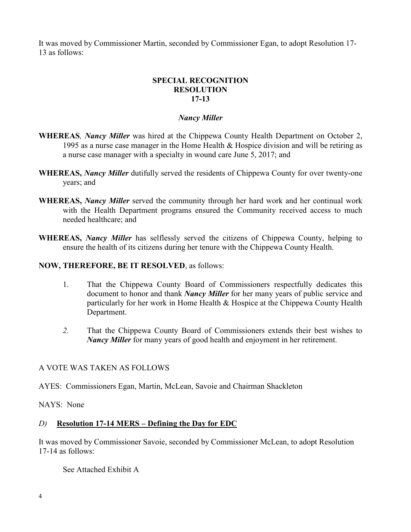It was moved by Commissioner Martin, seconded by Commissioner Egan, to adopt Resolution 17- 13 as follows:

# **SPECIAL RECOGNITION RESOLUTION 17-13**

## *Nancy Miller*

- **WHEREAS***, Nancy Miller* was hired at the Chippewa County Health Department on October 2, 1995 as a nurse case manager in the Home Health & Hospice division and will be retiring as a nurse case manager with a specialty in wound care June 5, 2017; and
- **WHEREAS,** *Nancy Miller* dutifully served the residents of Chippewa County for over twenty-one years; and
- **WHEREAS,** *Nancy Miller* served the community through her hard work and her continual work with the Health Department programs ensured the Community received access to much needed healthcare; and
- **WHEREAS,** *Nancy Miller* has selflessly served the citizens of Chippewa County, helping to ensure the health of its citizens during her tenure with the Chippewa County Health.

## **NOW, THEREFORE, BE IT RESOLVED**, as follows:

- 1. That the Chippewa County Board of Commissioners respectfully dedicates this document to honor and thank *Nancy Miller* for her many years of public service and particularly for her work in Home Health & Hospice at the Chippewa County Health Department.
- *2.* That the Chippewa County Board of Commissioners extends their best wishes to *Nancy Miller* for many years of good health and enjoyment in her retirement.

## A VOTE WAS TAKEN AS FOLLOWS

AYES: Commissioners Egan, Martin, McLean, Savoie and Chairman Shackleton

NAYS: None

# *D)* **Resolution 17-14 MERS – Defining the Day for EDC**

It was moved by Commissioner Savoie, seconded by Commissioner McLean, to adopt Resolution 17-14 as follows:

See Attached Exhibit A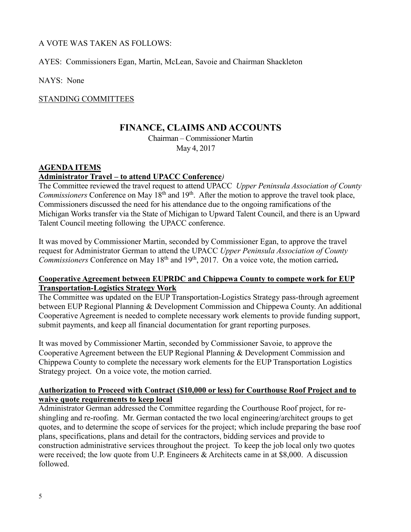### A VOTE WAS TAKEN AS FOLLOWS:

AYES: Commissioners Egan, Martin, McLean, Savoie and Chairman Shackleton

NAYS: None

STANDING COMMITTEES

# **FINANCE, CLAIMS AND ACCOUNTS**

Chairman – Commissioner Martin May 4, 2017

### **AGENDA ITEMS**

### **Administrator Travel – to attend UPACC Conference***)*

The Committee reviewed the travel request to attend UPACC *Upper Peninsula Association of County Commissioners* Conference on May 18<sup>th</sup> and 19<sup>th</sup>. After the motion to approve the travel took place, Commissioners discussed the need for his attendance due to the ongoing ramifications of the Michigan Works transfer via the State of Michigan to Upward Talent Council, and there is an Upward Talent Council meeting following the UPACC conference.

It was moved by Commissioner Martin, seconded by Commissioner Egan, to approve the travel request for Administrator German to attend the UPACC *Upper Peninsula Association of County Commissioners* Conference on May 18<sup>th</sup> and 19<sup>th</sup>, 2017. On a voice vote, the motion carried.

#### **Cooperative Agreement between EUPRDC and Chippewa County to compete work for EUP Transportation-Logistics Strategy Work**

The Committee was updated on the EUP Transportation-Logistics Strategy pass-through agreement between EUP Regional Planning & Development Commission and Chippewa County. An additional Cooperative Agreement is needed to complete necessary work elements to provide funding support, submit payments, and keep all financial documentation for grant reporting purposes.

It was moved by Commissioner Martin, seconded by Commissioner Savoie, to approve the Cooperative Agreement between the EUP Regional Planning & Development Commission and Chippewa County to complete the necessary work elements for the EUP Transportation Logistics Strategy project. On a voice vote, the motion carried.

### **Authorization to Proceed with Contract (\$10,000 or less) for Courthouse Roof Project and to waive quote requirements to keep local**

Administrator German addressed the Committee regarding the Courthouse Roof project, for reshingling and re-roofing. Mr. German contacted the two local engineering/architect groups to get quotes, and to determine the scope of services for the project; which include preparing the base roof plans, specifications, plans and detail for the contractors, bidding services and provide to construction administrative services throughout the project. To keep the job local only two quotes were received; the low quote from U.P. Engineers & Architects came in at \$8,000. A discussion followed.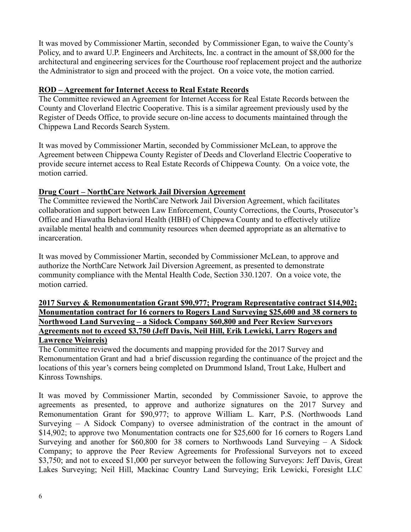It was moved by Commissioner Martin, seconded by Commissioner Egan, to waive the County's Policy, and to award U.P. Engineers and Architects, Inc. a contract in the amount of \$8,000 for the architectural and engineering services for the Courthouse roof replacement project and the authorize the Administrator to sign and proceed with the project. On a voice vote, the motion carried.

# **ROD – Agreement for Internet Access to Real Estate Records**

The Committee reviewed an Agreement for Internet Access for Real Estate Records between the County and Cloverland Electric Cooperative. This is a similar agreement previously used by the Register of Deeds Office, to provide secure on-line access to documents maintained through the Chippewa Land Records Search System.

It was moved by Commissioner Martin, seconded by Commissioner McLean, to approve the Agreement between Chippewa County Register of Deeds and Cloverland Electric Cooperative to provide secure internet access to Real Estate Records of Chippewa County. On a voice vote, the motion carried.

# **Drug Court – NorthCare Network Jail Diversion Agreement**

The Committee reviewed the NorthCare Network Jail Diversion Agreement, which facilitates collaboration and support between Law Enforcement, County Corrections, the Courts, Prosecutor's Office and Hiawatha Behavioral Health (HBH) of Chippewa County and to effectively utilize available mental health and community resources when deemed appropriate as an alternative to incarceration.

It was moved by Commissioner Martin, seconded by Commissioner McLean, to approve and authorize the NorthCare Network Jail Diversion Agreement, as presented to demonstrate community compliance with the Mental Health Code, Section 330.1207. On a voice vote, the motion carried.

#### **2017 Survey & Remonumentation Grant \$90,977; Program Representative contract \$14,902; Monumentation contract for 16 corners to Rogers Land Surveying \$25,600 and 38 corners to Northwood Land Surveying – a Sidock Company \$60,800 and Peer Review Surveyors Agreements not to exceed \$3,750 (Jeff Davis, Neil Hill, Erik Lewicki, Larry Rogers and Lawrence Weinreis)**

The Committee reviewed the documents and mapping provided for the 2017 Survey and Remonumentation Grant and had a brief discussion regarding the continuance of the project and the locations of this year's corners being completed on Drummond Island, Trout Lake, Hulbert and Kinross Townships.

It was moved by Commissioner Martin, seconded by Commissioner Savoie, to approve the agreements as presented, to approve and authorize signatures on the 2017 Survey and Remonumentation Grant for \$90,977; to approve William L. Karr, P.S. (Northwoods Land Surveying  $-$  A Sidock Company) to oversee administration of the contract in the amount of \$14,902; to approve two Monumentation contracts one for \$25,600 for 16 corners to Rogers Land Surveying and another for  $$60,800$  for 38 corners to Northwoods Land Surveying – A Sidock Company; to approve the Peer Review Agreements for Professional Surveyors not to exceed \$3,750; and not to exceed \$1,000 per surveyor between the following Surveyors: Jeff Davis, Great Lakes Surveying; Neil Hill, Mackinac Country Land Surveying; Erik Lewicki, Foresight LLC